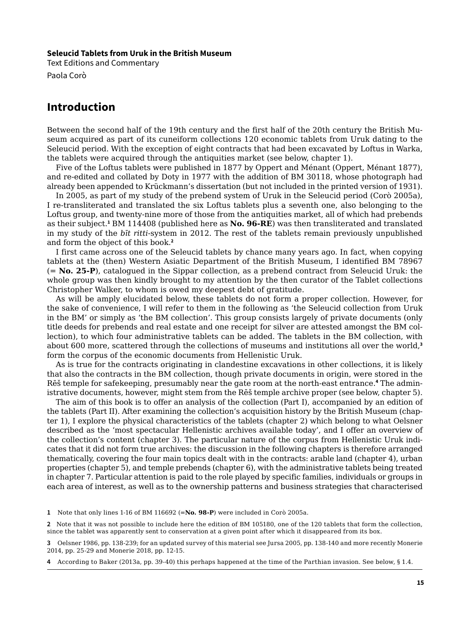## **Seleucid Tablets from Uruk in the British Museum**

Text Editions and Commentary Paola Corò

## **Introduction**

Between the second half of the 19th century and the first half of the 20th century the British Museum acquired as part of its cuneiform collections 120 economic tablets from Uruk dating to the Seleucid period. With the exception of eight contracts that had been excavated by Loftus in Warka, the tablets were acquired through the antiquities market (see below, chapter 1).

Five of the Loftus tablets were published in 1877 by Oppert and Ménant (Oppert, Ménant 1877), and re-edited and collated by Doty in 1977 with the addition of BM 30118, whose photograph had already been appended to Krückmann's dissertation (but not included in the printed version of 1931).

In 2005, as part of my study of the prebend system of Uruk in the Seleucid period (Corò 2005a), I re-transliterated and translated the six Loftus tablets plus a seventh one, also belonging to the Loftus group, and twenty-nine more of those from the antiquities market, all of which had prebends as their subject.**<sup>1</sup>** BM 114408 (published here as **No. 96-RE**) was then transliterated and translated in my study of the *bīt ritti*-system in 2012. The rest of the tablets remain previously unpublished and form the object of this book.**<sup>2</sup>**

I first came across one of the Seleucid tablets by chance many years ago. In fact, when copying tablets at the (then) Western Asiatic Department of the British Museum, I identified BM 78967 (= **No. 25-P**), catalogued in the Sippar collection, as a prebend contract from Seleucid Uruk: the whole group was then kindly brought to my attention by the then curator of the Tablet collections Christopher Walker, to whom is owed my deepest debt of gratitude.

As will be amply elucidated below, these tablets do not form a proper collection. However, for the sake of convenience, I will refer to them in the following as 'the Seleucid collection from Uruk in the BM' or simply as 'the BM collection'. This group consists largely of private documents (only title deeds for prebends and real estate and one receipt for silver are attested amongst the BM collection), to which four administrative tablets can be added. The tablets in the BM collection, with about 600 more, scattered through the collections of museums and institutions all over the world,**<sup>3</sup>** form the corpus of the economic documents from Hellenistic Uruk.

As is true for the contracts originating in clandestine excavations in other collections, it is likely that also the contracts in the BM collection, though private documents in origin, were stored in the Rēš temple for safekeeping, presumably near the gate room at the north-east entrance.<sup>4</sup> The administrative documents, however, might stem from the Rēš temple archive proper (see below, chapter 5).

The aim of this book is to offer an analysis of the collection (Part I), accompanied by an edition of the tablets (Part II). After examining the collection's acquisition history by the British Museum (chapter 1), I explore the physical characteristics of the tablets (chapter 2) which belong to what Oelsner described as the 'most spectacular Hellenistic archives available today', and I offer an overview of the collection's content (chapter 3). The particular nature of the corpus from Hellenistic Uruk indicates that it did not form true archives: the discussion in the following chapters is therefore arranged thematically, covering the four main topics dealt with in the contracts: arable land (chapter 4), urban properties (chapter 5), and temple prebends (chapter 6), with the administrative tablets being treated in chapter 7. Particular attention is paid to the role played by specific families, individuals or groups in each area of interest, as well as to the ownership patterns and business strategies that characterised

**1** Note that only lines 1-16 of BM 116692 (=**No. 98-P**) were included in Corò 2005a.

**2** Note that it was not possible to include here the edition of BM 105180, one of the 120 tablets that form the collection, since the tablet was apparently sent to conservation at a given point after which it disappeared from its box.

**3** Oelsner 1986, pp. 138-239; for an updated survey of this material see Jursa 2005, pp. 138-140 and more recently Monerie 2014, pp. 25-29 and Monerie 2018, pp. 12-15.

<span id="page-0-0"></span>**4** According to Baker (2013a, pp. 39-40) this perhaps happened at the time of the Parthian invasion. See below, § 1.4.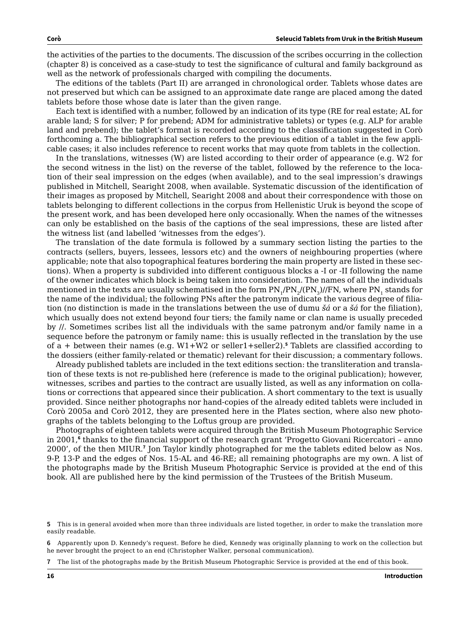<span id="page-1-0"></span>the activities of the parties to the documents. The discussion of the scribes occurring in the collection (chapter 8) is conceived as a case-study to test the significance of cultural and family background as well as the network of professionals charged with compiling the documents.

The editions of the tablets (Part II) are arranged in chronological order. Tablets whose dates are not preserved but which can be assigned to an approximate date range are placed among the dated tablets before those whose date is later than the given range.

Each text is identified with a number, followed by an indication of its type (RE for real estate; AL for arable land; S for silver; P for prebend; ADM for administrative tablets) or types (e.g. ALP for arable land and prebend); the tablet's format is recorded according to the classification suggested in Corò forthcoming a. The bibliographical section refers to the previous edition of a tablet in the few applicable cases; it also includes reference to recent works that may quote from tablets in the collection.

In the translations, witnesses (W) are listed according to their order of appearance (e.g. W2 for the second witness in the list) on the reverse of the tablet, followed by the reference to the location of their seal impression on the edges (when available), and to the seal impression's drawings published in Mitchell, Searight 2008, when available. Systematic discussion of the identification of their images as proposed by Mitchell, Searight 2008 and about their correspondence with those on tablets belonging to different collections in the corpus from Hellenistic Uruk is beyond the scope of the present work, and has been developed here only occasionally. When the names of the witnesses can only be established on the basis of the captions of the seal impressions, these are listed after the witness list (and labelled 'witnesses from the edges').

The translation of the date formula is followed by a summary section listing the parties to the contracts (sellers, buyers, lessees, lessors etc) and the owners of neighbouring properties (where applicable; note that also topographical features bordering the main property are listed in these sections). When a property is subdivided into different contiguous blocks a -I or -II following the name of the owner indicates which block is being taken into consideration. The names of all the individuals mentioned in the texts are usually schematised in the form  $PN_1/PN_2/(PN_3)/FN$ , where PN, stands for the name of the individual; the following PNs after the patronym indicate the various degree of filiation (no distinction is made in the translations between the use of dumu *šá* or a *šá* for the filiation), which usually does not extend beyond four tiers; the family name or clan name is usually preceded by //. Sometimes scribes list all the individuals with the same patronym and/or family name in a sequence before the patronym or family name: this is usually reflected in the translation by the use of a + between their names (e.g. W1+W2 or seller1+seller2).**<sup>5</sup>** Tablets are classified according to the dossiers (either family-related or thematic) relevant for their discussion; a commentary follows.

Already published tablets are included in the text editions section: the transliteration and translation of these texts is not re-published here (reference is made to the original publication); however, witnesses, scribes and parties to the contract are usually listed, as well as any information on collations or corrections that appeared since their publication. A short commentary to the text is usually provided. Since neither photographs nor hand-copies of the already edited tablets were included in Corò 2005a and Corò 2012, they are presented here in the Plates section, where also new photographs of the tablets belonging to the Loftus group are provided.

Photographs of eighteen tablets were acquired through the British Museum Photographic Service in 2001,**<sup>6</sup>** thanks to the financial support of the research grant 'Progetto Giovani Ricercatori – anno 2000', of the then MIUR.**<sup>7</sup>** Jon Taylor kindly photographed for me the tablets edited below as Nos. 9-P, 13-P and the edges of Nos. 15-AL and 46-RE; all remaining photographs are my own. A list of the photographs made by the British Museum Photographic Service is provided at the end of this book. All are published here by the kind permission of the Trustees of the British Museum.

**<sup>5</sup>** This is in general avoided when more than three individuals are listed together, in order to make the translation more easily readable.

**<sup>6</sup>** Apparently upon D. Kennedy's request. Before he died, Kennedy was originally planning to work on the collection but he never brought the project to an end (Christopher Walker, personal communication).

**<sup>7</sup>** The list of the photographs made by the British Museum Photographic Service is provided at the end of this book.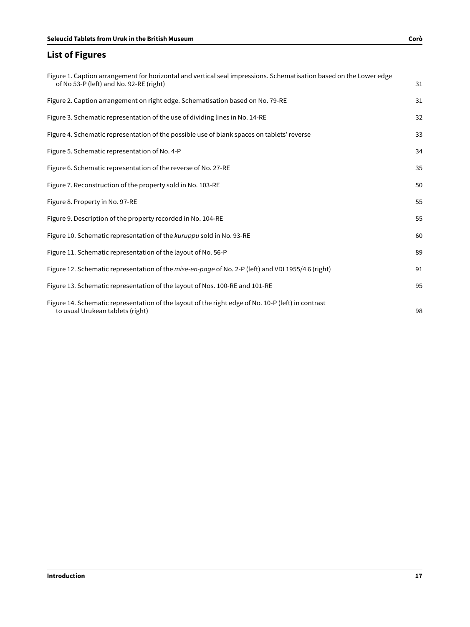## <span id="page-2-0"></span>**List of Figures**

| Figure 1. Caption arrangement for horizontal and vertical seal impressions. Schematisation based on the Lower edge<br>of No 53-P (left) and No. 92-RE (right) | 31 |
|---------------------------------------------------------------------------------------------------------------------------------------------------------------|----|
| Figure 2. Caption arrangement on right edge. Schematisation based on No. 79-RE                                                                                | 31 |
| Figure 3. Schematic representation of the use of dividing lines in No. 14-RE                                                                                  | 32 |
| Figure 4. Schematic representation of the possible use of blank spaces on tablets' reverse                                                                    | 33 |
| Figure 5. Schematic representation of No. 4-P                                                                                                                 | 34 |
| Figure 6. Schematic representation of the reverse of No. 27-RE                                                                                                | 35 |
| Figure 7. Reconstruction of the property sold in No. 103-RE                                                                                                   | 50 |
| Figure 8. Property in No. 97-RE                                                                                                                               | 55 |
| Figure 9. Description of the property recorded in No. 104-RE                                                                                                  | 55 |
| Figure 10. Schematic representation of the kuruppu sold in No. 93-RE                                                                                          | 60 |
| Figure 11. Schematic representation of the layout of No. 56-P                                                                                                 | 89 |
| Figure 12. Schematic representation of the <i>mise-en-page</i> of No. 2-P (left) and VDI 1955/46 (right)                                                      | 91 |
| Figure 13. Schematic representation of the layout of Nos. 100-RE and 101-RE                                                                                   | 95 |
| Figure 14. Schematic representation of the layout of the right edge of No. 10-P (left) in contrast<br>to usual Urukean tablets (right)                        | 98 |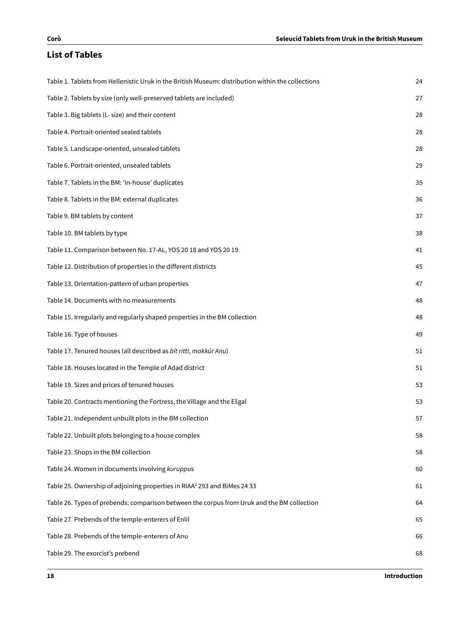## <span id="page-3-0"></span>**List of Tables**

| Table 1. Tablets from Hellenistic Uruk in the British Museum: distribution within the collections | 24 |
|---------------------------------------------------------------------------------------------------|----|
| Table 2. Tablets by size (only well-preserved tablets are included)                               | 27 |
| Table 3. Big tablets (L- size) and their content                                                  | 28 |
| Table 4. Portrait-oriented sealed tablets                                                         | 28 |
| Table 5. Landscape-oriented, unsealed tablets                                                     | 28 |
| Table 6. Portrait-oriented, unsealed tablets                                                      | 29 |
| Table 7. Tablets in the BM: 'in-house' duplicates                                                 | 35 |
| Table 8. Tablets in the BM: external duplicates                                                   | 36 |
| Table 9. BM tablets by content                                                                    | 37 |
| Table 10. BM tablets by type                                                                      | 38 |
| Table 11. Comparison between No. 17-AL, YOS 20 18 and YOS 20 19                                   | 41 |
| Table 12. Distribution of properties in the different districts                                   | 45 |
| Table 13. Orientation-pattern of urban properties                                                 | 47 |
| Table 14. Documents with no measurements                                                          | 48 |
| Table 15. Irregularly and regularly shaped properties in the BM collection                        | 48 |
| Table 16. Type of houses                                                                          | 49 |
| Table 17. Tenured houses (all described as bīt ritti, makkūr Anu)                                 | 51 |
| Table 18. Houses located in the Temple of Adad district                                           | 51 |
| Table 19. Sizes and prices of tenured houses                                                      | 53 |
| Table 20. Contracts mentioning the Fortress, the Village and the Ešgal                            | 53 |
| Table 21. Independent unbuilt plots in the BM collection                                          | 57 |
| Table 22. Unbuilt plots belonging to a house complex                                              | 58 |
| Table 23. Shops in the BM collection                                                              | 58 |
| Table 24. Women in documents involving kuruppus                                                   | 60 |
| Table 25. Ownership of adjoining properties in RIAA <sup>2</sup> 293 and BiMes 24 33              | 61 |
| Table 26. Types of prebends: comparison between the corpus from Uruk and the BM collection        | 64 |
| Table 27. Prebends of the temple-enterers of Enlil                                                | 65 |
| Table 28. Prebends of the temple-enterers of Anu                                                  | 66 |
| Table 29. The exorcist's prebend                                                                  | 68 |